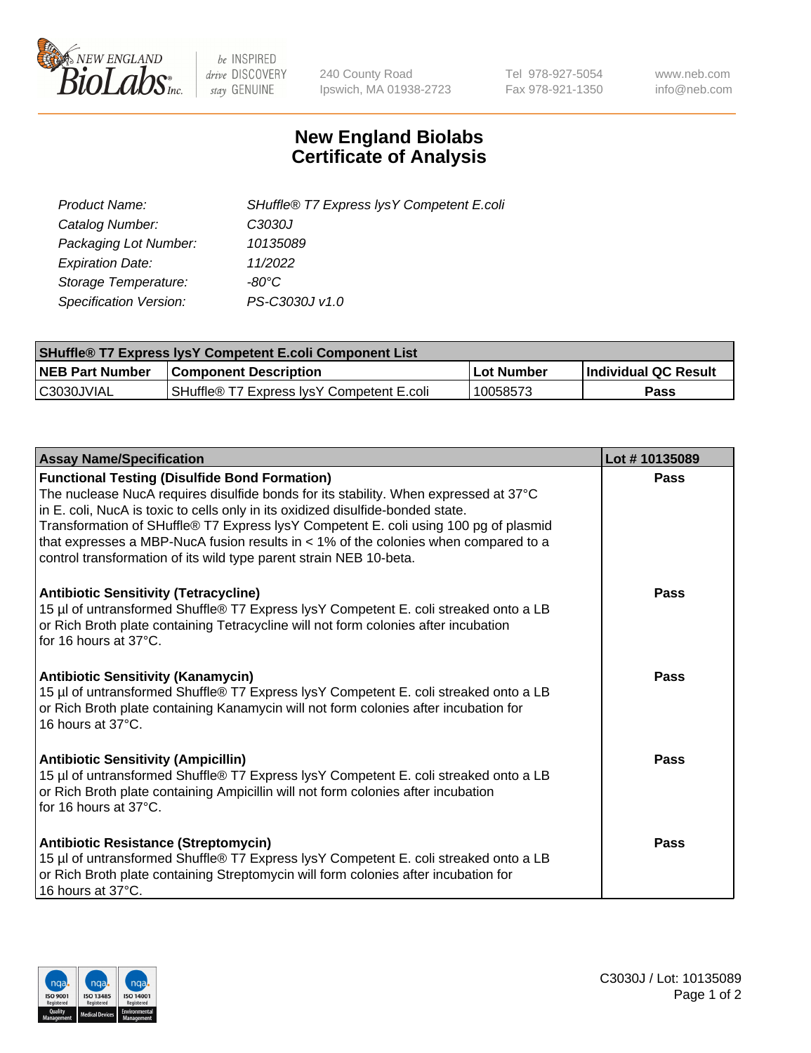

 $be$  INSPIRED drive DISCOVERY stay GENUINE

240 County Road Ipswich, MA 01938-2723 Tel 978-927-5054 Fax 978-921-1350 www.neb.com info@neb.com

## **New England Biolabs Certificate of Analysis**

| Product Name:                 | SHuffle® T7 Express lys Y Competent E.coli |
|-------------------------------|--------------------------------------------|
| Catalog Number:               | C3030J                                     |
| Packaging Lot Number:         | 10135089                                   |
| <b>Expiration Date:</b>       | 11/2022                                    |
| Storage Temperature:          | -80°C                                      |
| <b>Specification Version:</b> | PS-C3030J v1.0                             |

| <b>SHuffle® T7 Express lysY Competent E.coli Component List</b> |                                           |                   |                             |  |
|-----------------------------------------------------------------|-------------------------------------------|-------------------|-----------------------------|--|
| <b>NEB Part Number</b>                                          | <b>Component Description</b>              | <b>Lot Number</b> | <b>Individual QC Result</b> |  |
| C3030JVIAL                                                      | SHuffle® T7 Express IysY Competent E.coli | 10058573          | Pass                        |  |

| <b>Assay Name/Specification</b>                                                                                                                                                                                                                                                                                                                                                                                                                                                        | Lot #10135089 |
|----------------------------------------------------------------------------------------------------------------------------------------------------------------------------------------------------------------------------------------------------------------------------------------------------------------------------------------------------------------------------------------------------------------------------------------------------------------------------------------|---------------|
| <b>Functional Testing (Disulfide Bond Formation)</b><br>The nuclease NucA requires disulfide bonds for its stability. When expressed at 37°C<br>in E. coli, NucA is toxic to cells only in its oxidized disulfide-bonded state.<br>Transformation of SHuffle® T7 Express lysY Competent E. coli using 100 pg of plasmid<br>that expresses a MBP-NucA fusion results in $<$ 1% of the colonies when compared to a<br>control transformation of its wild type parent strain NEB 10-beta. | <b>Pass</b>   |
| <b>Antibiotic Sensitivity (Tetracycline)</b><br>15 µl of untransformed Shuffle® T7 Express lysY Competent E. coli streaked onto a LB<br>or Rich Broth plate containing Tetracycline will not form colonies after incubation<br>for 16 hours at 37°C.                                                                                                                                                                                                                                   | Pass          |
| <b>Antibiotic Sensitivity (Kanamycin)</b><br>15 µl of untransformed Shuffle® T7 Express lysY Competent E. coli streaked onto a LB<br>or Rich Broth plate containing Kanamycin will not form colonies after incubation for<br>16 hours at 37°C.                                                                                                                                                                                                                                         | Pass          |
| <b>Antibiotic Sensitivity (Ampicillin)</b><br>15 µl of untransformed Shuffle® T7 Express lysY Competent E. coli streaked onto a LB<br>or Rich Broth plate containing Ampicillin will not form colonies after incubation<br>for 16 hours at 37°C.                                                                                                                                                                                                                                       | Pass          |
| <b>Antibiotic Resistance (Streptomycin)</b><br>15 µl of untransformed Shuffle® T7 Express lysY Competent E. coli streaked onto a LB<br>or Rich Broth plate containing Streptomycin will form colonies after incubation for<br>16 hours at 37°C.                                                                                                                                                                                                                                        | <b>Pass</b>   |